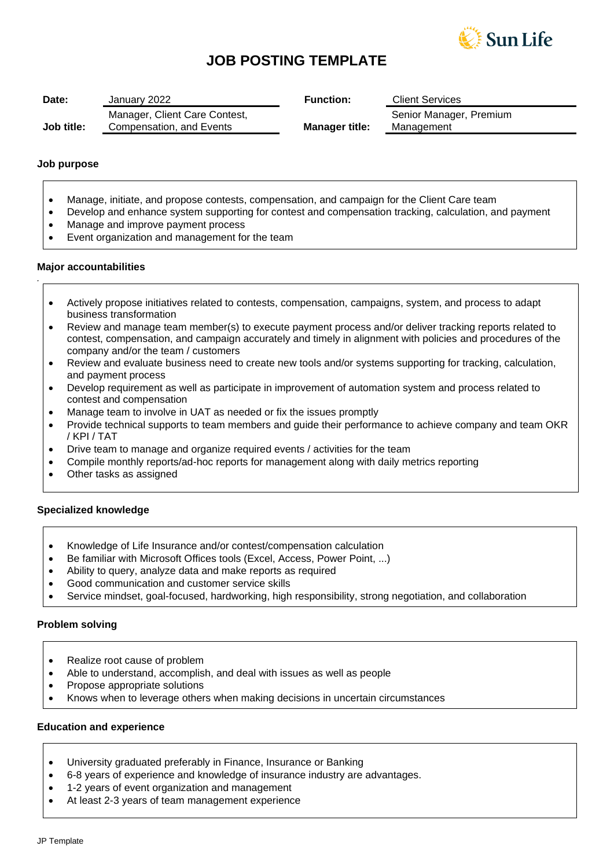

# **JOB POSTING TEMPLATE**

| Date:      | January 2022                                              | <b>Function:</b>      | <b>Client Services</b>                |
|------------|-----------------------------------------------------------|-----------------------|---------------------------------------|
| Job title: | Manager, Client Care Contest,<br>Compensation, and Events | <b>Manager title:</b> | Senior Manager, Premium<br>Management |

### **Job purpose**

*.*

- Manage, initiate, and propose contests, compensation, and campaign for the Client Care team
- Develop and enhance system supporting for contest and compensation tracking, calculation, and payment
- Manage and improve payment process
- Event organization and management for the team

#### **Major accountabilities**

- Actively propose initiatives related to contests, compensation, campaigns, system, and process to adapt business transformation
- Review and manage team member(s) to execute payment process and/or deliver tracking reports related to contest, compensation, and campaign accurately and timely in alignment with policies and procedures of the company and/or the team / customers
- Review and evaluate business need to create new tools and/or systems supporting for tracking, calculation, and payment process
- Develop requirement as well as participate in improvement of automation system and process related to contest and compensation
- Manage team to involve in UAT as needed or fix the issues promptly
- Provide technical supports to team members and guide their performance to achieve company and team OKR / KPI / TAT
- Drive team to manage and organize required events / activities for the team
- Compile monthly reports/ad-hoc reports for management along with daily metrics reporting
- Other tasks as assigned

#### **Specialized knowledge**

- Knowledge of Life Insurance and/or contest/compensation calculation
- Be familiar with Microsoft Offices tools (Excel, Access, Power Point, ...)
- Ability to query, analyze data and make reports as required
- Good communication and customer service skills
- Service mindset, goal-focused, hardworking, high responsibility, strong negotiation, and collaboration

#### **Problem solving**

- Realize root cause of problem
- Able to understand, accomplish, and deal with issues as well as people
- Propose appropriate solutions
- Knows when to leverage others when making decisions in uncertain circumstances

## **Education and experience**

- University graduated preferably in Finance, Insurance or Banking
- 6-8 years of experience and knowledge of insurance industry are advantages.
- 1-2 years of event organization and management
- At least 2-3 years of team management experience